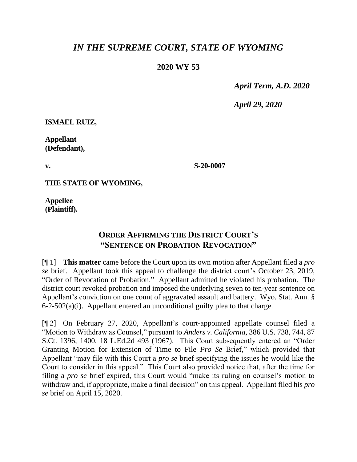## *IN THE SUPREME COURT, STATE OF WYOMING*

## **2020 WY 53**

 *April Term, A.D. 2020*

*April 29, 2020*

**ISMAEL RUIZ,**

**Appellant (Defendant),**

**v.**

**S-20-0007**

**THE STATE OF WYOMING,**

**Appellee (Plaintiff).**

## **ORDER AFFIRMING THE DISTRICT COURT'S "SENTENCE ON PROBATION REVOCATION"**

[¶ 1] **This matter** came before the Court upon its own motion after Appellant filed a *pro se* brief. Appellant took this appeal to challenge the district court's October 23, 2019, "Order of Revocation of Probation." Appellant admitted he violated his probation. The district court revoked probation and imposed the underlying seven to ten-year sentence on Appellant's conviction on one count of aggravated assault and battery. Wyo. Stat. Ann. § 6-2-502(a)(i). Appellant entered an unconditional guilty plea to that charge.

[¶ 2] On February 27, 2020, Appellant's court-appointed appellate counsel filed a "Motion to Withdraw as Counsel," pursuant to *Anders v. California*, 386 U.S. 738, 744, 87 S.Ct. 1396, 1400, 18 L.Ed.2d 493 (1967). This Court subsequently entered an "Order Granting Motion for Extension of Time to File *Pro Se* Brief," which provided that Appellant "may file with this Court a *pro se* brief specifying the issues he would like the Court to consider in this appeal." This Court also provided notice that, after the time for filing a *pro se* brief expired, this Court would "make its ruling on counsel's motion to withdraw and, if appropriate, make a final decision" on this appeal. Appellant filed his *pro se* brief on April 15, 2020.